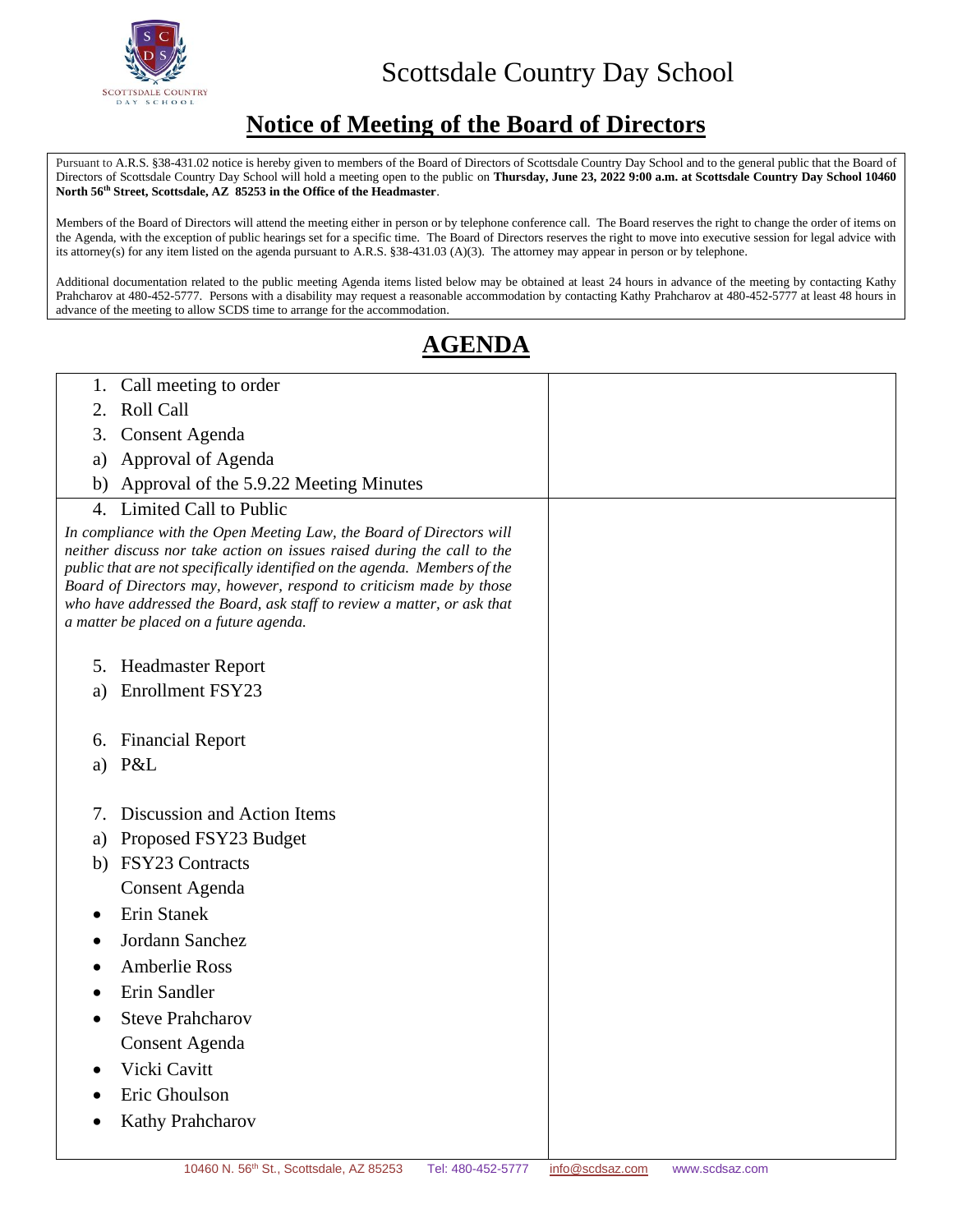

## Scottsdale Country Day School

## **Notice of Meeting of the Board of Directors**

Pursuant t[o A.R.S. §38-431.02](http://www.azleg.state.az.us/FormatDocument.asp?inDoc=/ars/38/00431-02.htm&Title=38&DocType=ARS) notice is hereby given to members of the Board of Directors of Scottsdale Country Day School and to the general public that the Board of Directors of Scottsdale Country Day School will hold a meeting open to the public on **Thursday, June 23, 2022 9:00 a.m. at Scottsdale Country Day School 10460 North 56th Street, Scottsdale, AZ 85253 in the Office of the Headmaster**.

Members of the Board of Directors will attend the meeting either in person or by telephone conference call. The Board reserves the right to change the order of items on the Agenda, with the exception of public hearings set for a specific time. The Board of Directors reserves the right to move into executive session for legal advice with its attorney(s) for any item listed on the agenda pursuant to [A.R.S. §38-431.03](http://www.azleg.state.az.us/FormatDocument.asp?inDoc=/ars/38/00431-02.htm&Title=38&DocType=ARS) (A)(3). The attorney may appear in person or by telephone.

Additional documentation related to the public meeting Agenda items listed below may be obtained at least 24 hours in advance of the meeting by contacting Kathy Prahcharov at 480-452-5777. Persons with a disability may request a reasonable accommodation by contacting Kathy Prahcharov at 480-452-5777 at least 48 hours in advance of the meeting to allow SCDS time to arrange for the accommodation.

## **AGENDA**

| Call meeting to order<br>1.                                                                                                                                                                                                                                                                                                                                                                                              |  |
|--------------------------------------------------------------------------------------------------------------------------------------------------------------------------------------------------------------------------------------------------------------------------------------------------------------------------------------------------------------------------------------------------------------------------|--|
| Roll Call<br>2.                                                                                                                                                                                                                                                                                                                                                                                                          |  |
| <b>Consent Agenda</b><br>3.                                                                                                                                                                                                                                                                                                                                                                                              |  |
| Approval of Agenda<br>a)                                                                                                                                                                                                                                                                                                                                                                                                 |  |
| Approval of the 5.9.22 Meeting Minutes<br>b)                                                                                                                                                                                                                                                                                                                                                                             |  |
| Limited Call to Public<br>4.                                                                                                                                                                                                                                                                                                                                                                                             |  |
| In compliance with the Open Meeting Law, the Board of Directors will<br>neither discuss nor take action on issues raised during the call to the<br>public that are not specifically identified on the agenda. Members of the<br>Board of Directors may, however, respond to criticism made by those<br>who have addressed the Board, ask staff to review a matter, or ask that<br>a matter be placed on a future agenda. |  |
| 5. Headmaster Report                                                                                                                                                                                                                                                                                                                                                                                                     |  |
| Enrollment FSY23<br>a)                                                                                                                                                                                                                                                                                                                                                                                                   |  |
|                                                                                                                                                                                                                                                                                                                                                                                                                          |  |
| <b>Financial Report</b><br>6.                                                                                                                                                                                                                                                                                                                                                                                            |  |
| P&L<br>a)                                                                                                                                                                                                                                                                                                                                                                                                                |  |
|                                                                                                                                                                                                                                                                                                                                                                                                                          |  |
| Discussion and Action Items<br>7.                                                                                                                                                                                                                                                                                                                                                                                        |  |
| Proposed FSY23 Budget<br>a)                                                                                                                                                                                                                                                                                                                                                                                              |  |
| <b>FSY23 Contracts</b><br>b)                                                                                                                                                                                                                                                                                                                                                                                             |  |
| <b>Consent Agenda</b>                                                                                                                                                                                                                                                                                                                                                                                                    |  |
| Erin Stanek                                                                                                                                                                                                                                                                                                                                                                                                              |  |
| Jordann Sanchez                                                                                                                                                                                                                                                                                                                                                                                                          |  |
| <b>Amberlie Ross</b>                                                                                                                                                                                                                                                                                                                                                                                                     |  |
| Erin Sandler                                                                                                                                                                                                                                                                                                                                                                                                             |  |
| <b>Steve Prahcharov</b><br>$\bullet$                                                                                                                                                                                                                                                                                                                                                                                     |  |
| <b>Consent Agenda</b>                                                                                                                                                                                                                                                                                                                                                                                                    |  |
| Vicki Cavitt                                                                                                                                                                                                                                                                                                                                                                                                             |  |
| Eric Ghoulson                                                                                                                                                                                                                                                                                                                                                                                                            |  |
| Kathy Prahcharov                                                                                                                                                                                                                                                                                                                                                                                                         |  |
|                                                                                                                                                                                                                                                                                                                                                                                                                          |  |